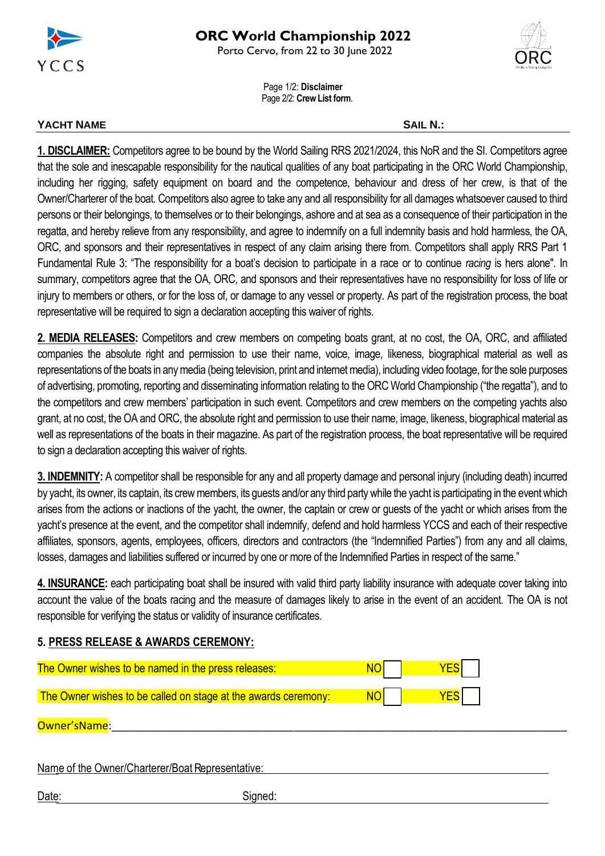

Porto Cervo, from 22 to 30 June 2022

Page 1/2: **Disclaimer** Page 2/2: **Crew List form**.

## **YACHT NAME SAIL N.:**

**1. DISCLAIMER:** Competitors agree to be bound by the World Sailing RRS 2021/2024, this NoR and the SI. Competitors agree that the sole and inescapable responsibility for the nautical qualities of any boat participating in the ORC World Championship, including her rigging, safety equipment on board and the competence, behaviour and dress of her crew, is that of the Owner/Charterer of the boat. Competitors also agree to take any and all responsibility for all damages whatsoever caused to third persons or their belongings, to themselves or to their belongings, ashore and at sea as a consequence of their participation in the regatta, and hereby relieve from any responsibility, and agree to indemnify on a full indemnity basis and hold harmless, the OA, ORC, and sponsors and their representatives in respect of any claim arising there from. Competitors shall apply RRS Part 1 Fundamental Rule 3: "The responsibility for a boat's decision to participate in a race or to continue *racing* is hers alone". In summary, competitors agree that the OA, ORC, and sponsors and their representatives have no responsibility for loss of life or injury to members or others, or for the loss of, or damage to any vessel or property. As part of the registration process, the boat representative will be required to sign a declaration accepting this waiver of rights.

**2. MEDIA RELEASES:** Competitors and crew members on competing boats grant, at no cost, the OA, ORC, and affiliated companies the absolute right and permission to use their name, voice, image, likeness, biographical material as well as representations of the boats in any media (being television, print and internet media), including video footage, for the sole purposes of advertising, promoting, reporting and disseminating information relating to the ORC World Championship ("the regatta"), and to the competitors and crew members' participation in such event. Competitors and crew members on the competing yachts also grant, at no cost, the OA and ORC, the absolute right and permission to use their name, image, likeness, biographical material as well as representations of the boats in their magazine. As part of the registration process, the boat representative will be required to sign a declaration accepting this waiver of rights.

**3. INDEMNITY:** A competitor shall be responsible for any and all property damage and personal injury (including death) incurred by yacht, its owner, its captain, its crew members, its guests and/or any third party while the yacht is participating in the event which arises from the actions or inactions of the yacht, the owner, the captain or crew or guests of the yacht or which arises from the yacht's presence at the event, and the competitor shall indemnify, defend and hold harmless YCCS and each of their respective affiliates, sponsors, agents, employees, officers, directors and contractors (the "Indemnified Parties") from any and all claims, losses, damages and liabilities suffered or incurred by one or more of the Indemnified Parties in respect of the same."

**4. INSURANCE:** each participating boat shall be insured with valid third party liability insurance with adequate cover taking into account the value of the boats racing and the measure of damages likely to arise in the event of an accident. The OA is not responsible for verifying the status or validity of insurance certificates.

## **5. PRESS RELEASE & AWARDS CEREMONY:**

| The Owner wishes to be named in the press releases:            |  |
|----------------------------------------------------------------|--|
| The Owner wishes to be called on stage at the awards ceremony: |  |

Owner'sName:

Name of the Owner/Charterer/Boat Representative:

Date: Signed: Signed: